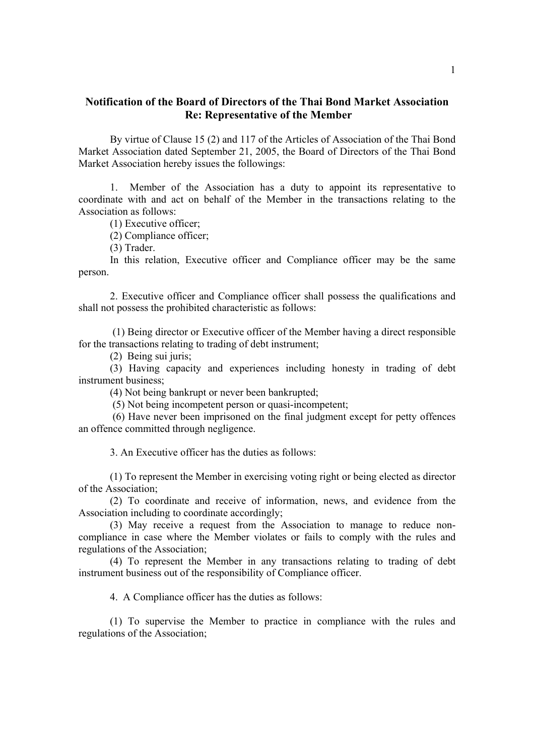## **Notification of the Board of Directors of the Thai Bond Market Association Re: Representative of the Member**

By virtue of Clause 15 (2) and 117 of the Articles of Association of the Thai Bond Market Association dated September 21, 2005, the Board of Directors of the Thai Bond Market Association hereby issues the followings:

1.Member of the Association has a duty to appoint its representative to coordinate with and act on behalf of the Member in the transactions relating to the Association as follows:

(1) Executive officer;

(2) Compliance officer;

(3) Trader.

 In this relation, Executive officer and Compliance officer may be the same person.

2. Executive officer and Compliance officer shall possess the qualifications and shall not possess the prohibited characteristic as follows:

 (1) Being director or Executive officer of the Member having a direct responsible for the transactions relating to trading of debt instrument;

(2) Being sui juris;

 (3) Having capacity and experiences including honesty in trading of debt instrument business;

(4) Not being bankrupt or never been bankrupted;

(5) Not being incompetent person or quasi-incompetent;

 (6) Have never been imprisoned on the final judgment except for petty offences an offence committed through negligence.

3. An Executive officer has the duties as follows:

 (1) To represent the Member in exercising voting right or being elected as director of the Association;

 (2) To coordinate and receive of information, news, and evidence from the Association including to coordinate accordingly;

 (3) May receive a request from the Association to manage to reduce noncompliance in case where the Member violates or fails to comply with the rules and regulations of the Association;

 (4) To represent the Member in any transactions relating to trading of debt instrument business out of the responsibility of Compliance officer.

4. A Compliance officer has the duties as follows:

 (1) To supervise the Member to practice in compliance with the rules and regulations of the Association;